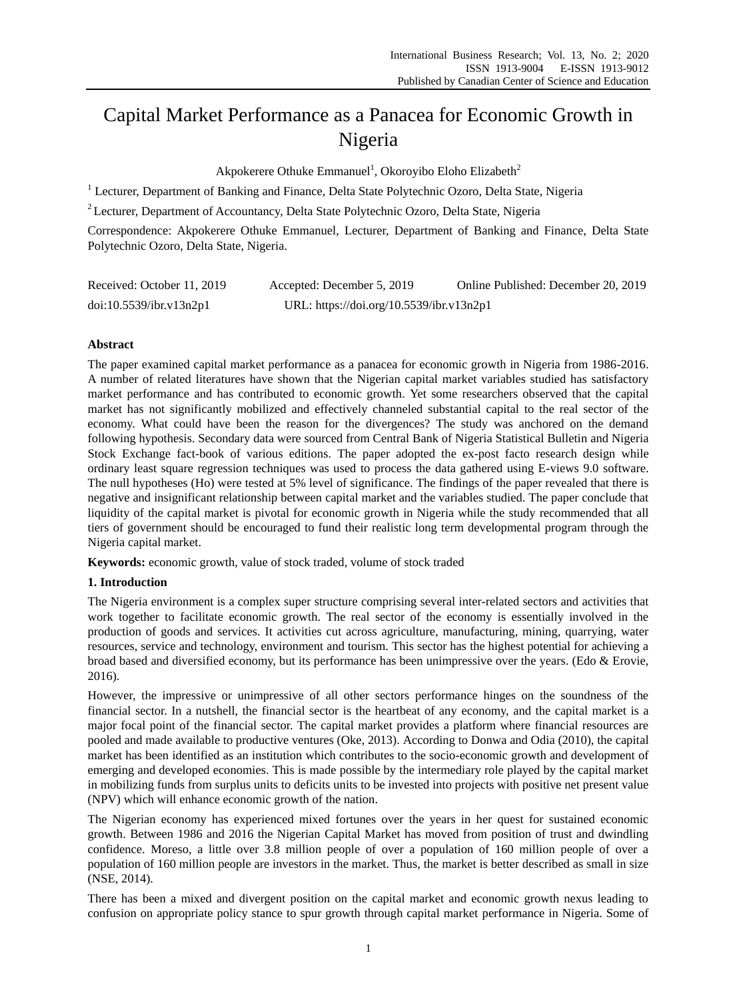# Capital Market Performance as a Panacea for Economic Growth in Nigeria

Akpokerere Othuke Emmanuel<sup>1</sup>, Okoroyibo Eloho Elizabeth<sup>2</sup>

<sup>1</sup> Lecturer, Department of Banking and Finance, Delta State Polytechnic Ozoro, Delta State, Nigeria

<sup>2</sup> Lecturer, Department of Accountancy, Delta State Polytechnic Ozoro, Delta State, Nigeria

Correspondence: Akpokerere Othuke Emmanuel, Lecturer, Department of Banking and Finance, Delta State Polytechnic Ozoro, Delta State, Nigeria.

| Received: October 11, 2019 | Accepted: December 5, 2019               | Online Published: December 20, 2019 |
|----------------------------|------------------------------------------|-------------------------------------|
| doi:10.5539/ibr.v13n2p1    | URL: https://doi.org/10.5539/ibr.v13n2p1 |                                     |

# **Abstract**

The paper examined capital market performance as a panacea for economic growth in Nigeria from 1986-2016. A number of related literatures have shown that the Nigerian capital market variables studied has satisfactory market performance and has contributed to economic growth. Yet some researchers observed that the capital market has not significantly mobilized and effectively channeled substantial capital to the real sector of the economy. What could have been the reason for the divergences? The study was anchored on the demand following hypothesis. Secondary data were sourced from Central Bank of Nigeria Statistical Bulletin and Nigeria Stock Exchange fact-book of various editions. The paper adopted the ex-post facto research design while ordinary least square regression techniques was used to process the data gathered using E-views 9.0 software. The null hypotheses (Ho) were tested at 5% level of significance. The findings of the paper revealed that there is negative and insignificant relationship between capital market and the variables studied. The paper conclude that liquidity of the capital market is pivotal for economic growth in Nigeria while the study recommended that all tiers of government should be encouraged to fund their realistic long term developmental program through the Nigeria capital market.

**Keywords:** economic growth, value of stock traded, volume of stock traded

## **1. Introduction**

The Nigeria environment is a complex super structure comprising several inter-related sectors and activities that work together to facilitate economic growth. The real sector of the economy is essentially involved in the production of goods and services. It activities cut across agriculture, manufacturing, mining, quarrying, water resources, service and technology, environment and tourism. This sector has the highest potential for achieving a broad based and diversified economy, but its performance has been unimpressive over the years. (Edo & Erovie, 2016).

However, the impressive or unimpressive of all other sectors performance hinges on the soundness of the financial sector. In a nutshell, the financial sector is the heartbeat of any economy, and the capital market is a major focal point of the financial sector. The capital market provides a platform where financial resources are pooled and made available to productive ventures (Oke, 2013). According to Donwa and Odia (2010), the capital market has been identified as an institution which contributes to the socio-economic growth and development of emerging and developed economies. This is made possible by the intermediary role played by the capital market in mobilizing funds from surplus units to deficits units to be invested into projects with positive net present value (NPV) which will enhance economic growth of the nation.

The Nigerian economy has experienced mixed fortunes over the years in her quest for sustained economic growth. Between 1986 and 2016 the Nigerian Capital Market has moved from position of trust and dwindling confidence. Moreso, a little over 3.8 million people of over a population of 160 million people of over a population of 160 million people are investors in the market. Thus, the market is better described as small in size (NSE, 2014).

There has been a mixed and divergent position on the capital market and economic growth nexus leading to confusion on appropriate policy stance to spur growth through capital market performance in Nigeria. Some of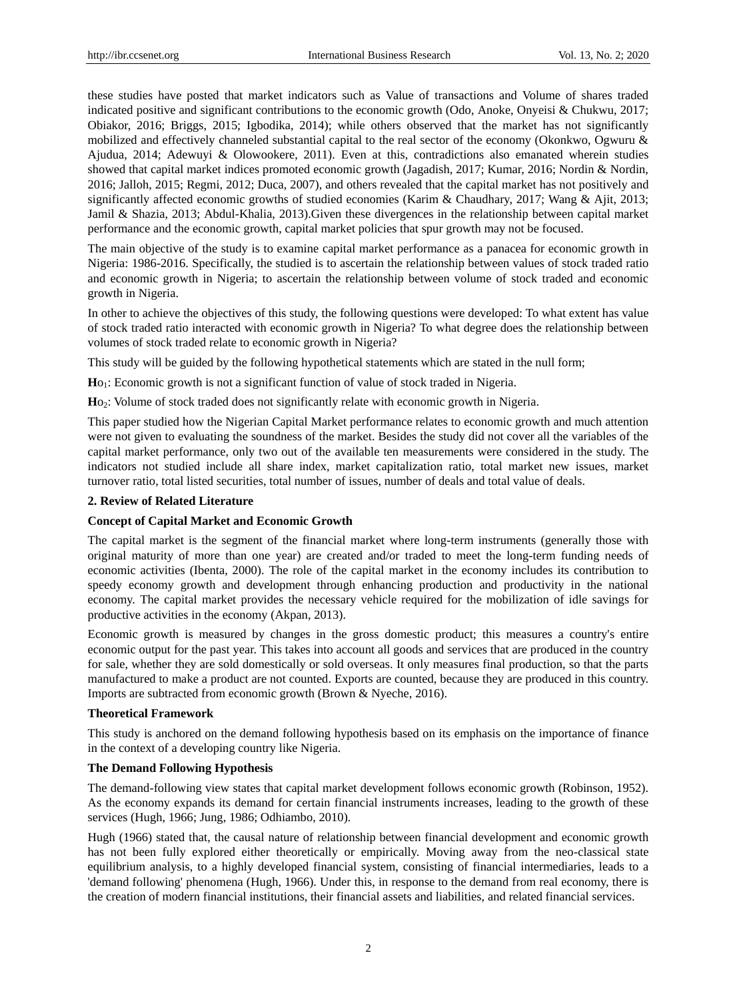these studies have posted that market indicators such as Value of transactions and Volume of shares traded indicated positive and significant contributions to the economic growth (Odo, Anoke, Onyeisi & Chukwu, 2017; Obiakor, 2016; Briggs, 2015; Igbodika, 2014); while others observed that the market has not significantly mobilized and effectively channeled substantial capital to the real sector of the economy (Okonkwo, Ogwuru & Ajudua, 2014; Adewuyi & Olowookere, 2011). Even at this, contradictions also emanated wherein studies showed that capital market indices promoted economic growth (Jagadish, 2017; Kumar, 2016; Nordin & Nordin, 2016; Jalloh, 2015; Regmi, 2012; Duca, 2007), and others revealed that the capital market has not positively and significantly affected economic growths of studied economies (Karim & Chaudhary, 2017; Wang & Ajit, 2013; Jamil & Shazia, 2013; Abdul-Khalia, 2013).Given these divergences in the relationship between capital market performance and the economic growth, capital market policies that spur growth may not be focused.

The main objective of the study is to examine capital market performance as a panacea for economic growth in Nigeria: 1986-2016. Specifically, the studied is to ascertain the relationship between values of stock traded ratio and economic growth in Nigeria; to ascertain the relationship between volume of stock traded and economic growth in Nigeria.

In other to achieve the objectives of this study, the following questions were developed: To what extent has value of stock traded ratio interacted with economic growth in Nigeria? To what degree does the relationship between volumes of stock traded relate to economic growth in Nigeria?

This study will be guided by the following hypothetical statements which are stated in the null form;

**H**o1: Economic growth is not a significant function of value of stock traded in Nigeria.

**H**o2: Volume of stock traded does not significantly relate with economic growth in Nigeria.

This paper studied how the Nigerian Capital Market performance relates to economic growth and much attention were not given to evaluating the soundness of the market. Besides the study did not cover all the variables of the capital market performance, only two out of the available ten measurements were considered in the study. The indicators not studied include all share index, market capitalization ratio, total market new issues, market turnover ratio, total listed securities, total number of issues, number of deals and total value of deals.

## **2. Review of Related Literature**

## **Concept of Capital Market and Economic Growth**

The capital market is the segment of the financial market where long-term instruments (generally those with original maturity of more than one year) are created and/or traded to meet the long-term funding needs of economic activities (Ibenta, 2000). The role of the capital market in the economy includes its contribution to speedy economy growth and development through enhancing production and productivity in the national economy. The capital market provides the necessary vehicle required for the mobilization of idle savings for productive activities in the economy (Akpan, 2013).

Economic growth is measured by changes in the gross domestic product; this measures a country's entire economic output for the past year. This takes into account all goods and services that are produced in the country for sale, whether they are sold domestically or sold overseas. It only measures final production, so that the parts manufactured to make a product are not counted. Exports are counted, because they are produced in this country. Imports are subtracted from economic growth (Brown & Nyeche, 2016).

## **Theoretical Framework**

This study is anchored on the demand following hypothesis based on its emphasis on the importance of finance in the context of a developing country like Nigeria.

# **The Demand Following Hypothesis**

The demand-following view states that capital market development follows economic growth (Robinson, 1952). As the economy expands its demand for certain financial instruments increases, leading to the growth of these services (Hugh, 1966; Jung, 1986; Odhiambo, 2010).

Hugh (1966) stated that, the causal nature of relationship between financial development and economic growth has not been fully explored either theoretically or empirically. Moving away from the neo-classical state equilibrium analysis, to a highly developed financial system, consisting of financial intermediaries, leads to a 'demand following' phenomena (Hugh, 1966). Under this, in response to the demand from real economy, there is the creation of modern financial institutions, their financial assets and liabilities, and related financial services.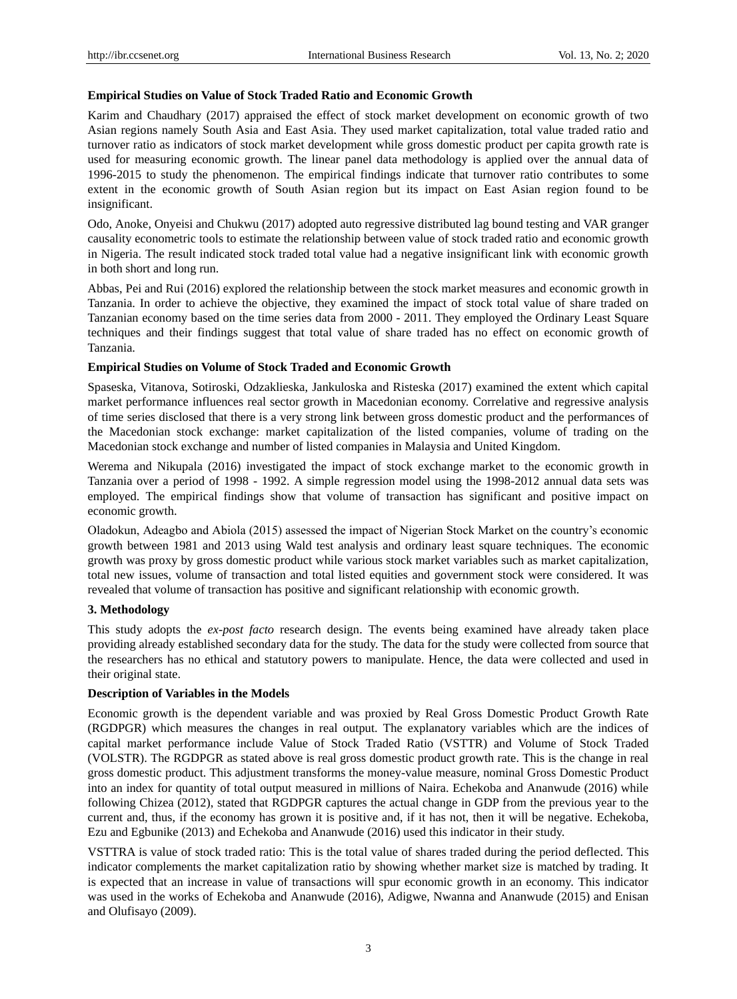## **Empirical Studies on Value of Stock Traded Ratio and Economic Growth**

Karim and Chaudhary (2017) appraised the effect of stock market development on economic growth of two Asian regions namely South Asia and East Asia. They used market capitalization, total value traded ratio and turnover ratio as indicators of stock market development while gross domestic product per capita growth rate is used for measuring economic growth. The linear panel data methodology is applied over the annual data of 1996-2015 to study the phenomenon. The empirical findings indicate that turnover ratio contributes to some extent in the economic growth of South Asian region but its impact on East Asian region found to be insignificant.

Odo, Anoke, Onyeisi and Chukwu (2017) adopted auto regressive distributed lag bound testing and VAR granger causality econometric tools to estimate the relationship between value of stock traded ratio and economic growth in Nigeria. The result indicated stock traded total value had a negative insignificant link with economic growth in both short and long run.

Abbas, Pei and Rui (2016) explored the relationship between the stock market measures and economic growth in Tanzania. In order to achieve the objective, they examined the impact of stock total value of share traded on Tanzanian economy based on the time series data from 2000 - 2011. They employed the Ordinary Least Square techniques and their findings suggest that total value of share traded has no effect on economic growth of Tanzania.

## **Empirical Studies on Volume of Stock Traded and Economic Growth**

Spaseska, Vitanova, Sotiroski, Odzaklieska, Jankuloska and Risteska (2017) examined the extent which capital market performance influences real sector growth in Macedonian economy. Correlative and regressive analysis of time series disclosed that there is a very strong link between gross domestic product and the performances of the Macedonian stock exchange: market capitalization of the listed companies, volume of trading on the Macedonian stock exchange and number of listed companies in Malaysia and United Kingdom.

Werema and Nikupala (2016) investigated the impact of stock exchange market to the economic growth in Tanzania over a period of 1998 - 1992. A simple regression model using the 1998-2012 annual data sets was employed. The empirical findings show that volume of transaction has significant and positive impact on economic growth.

Oladokun, Adeagbo and Abiola (2015) assessed the impact of Nigerian Stock Market on the country's economic growth between 1981 and 2013 using Wald test analysis and ordinary least square techniques. The economic growth was proxy by gross domestic product while various stock market variables such as market capitalization, total new issues, volume of transaction and total listed equities and government stock were considered. It was revealed that volume of transaction has positive and significant relationship with economic growth.

## **3. Methodology**

This study adopts the *ex-post facto* research design. The events being examined have already taken place providing already established secondary data for the study. The data for the study were collected from source that the researchers has no ethical and statutory powers to manipulate. Hence, the data were collected and used in their original state.

## **Description of Variables in the Models**

Economic growth is the dependent variable and was proxied by Real Gross Domestic Product Growth Rate (RGDPGR) which measures the changes in real output. The explanatory variables which are the indices of capital market performance include Value of Stock Traded Ratio (VSTTR) and Volume of Stock Traded (VOLSTR). The RGDPGR as stated above is real gross domestic product growth rate. This is the change in real gross domestic product. This adjustment transforms the money-value measure, nominal Gross Domestic Product into an index for quantity of total output measured in millions of Naira. Echekoba and Ananwude (2016) while following Chizea (2012), stated that RGDPGR captures the actual change in GDP from the previous year to the current and, thus, if the economy has grown it is positive and, if it has not, then it will be negative. Echekoba, Ezu and Egbunike (2013) and Echekoba and Ananwude (2016) used this indicator in their study.

VSTTRA is value of stock traded ratio: This is the total value of shares traded during the period deflected. This indicator complements the market capitalization ratio by showing whether market size is matched by trading. It is expected that an increase in value of transactions will spur economic growth in an economy. This indicator was used in the works of Echekoba and Ananwude (2016), Adigwe, Nwanna and Ananwude (2015) and Enisan and Olufisayo (2009).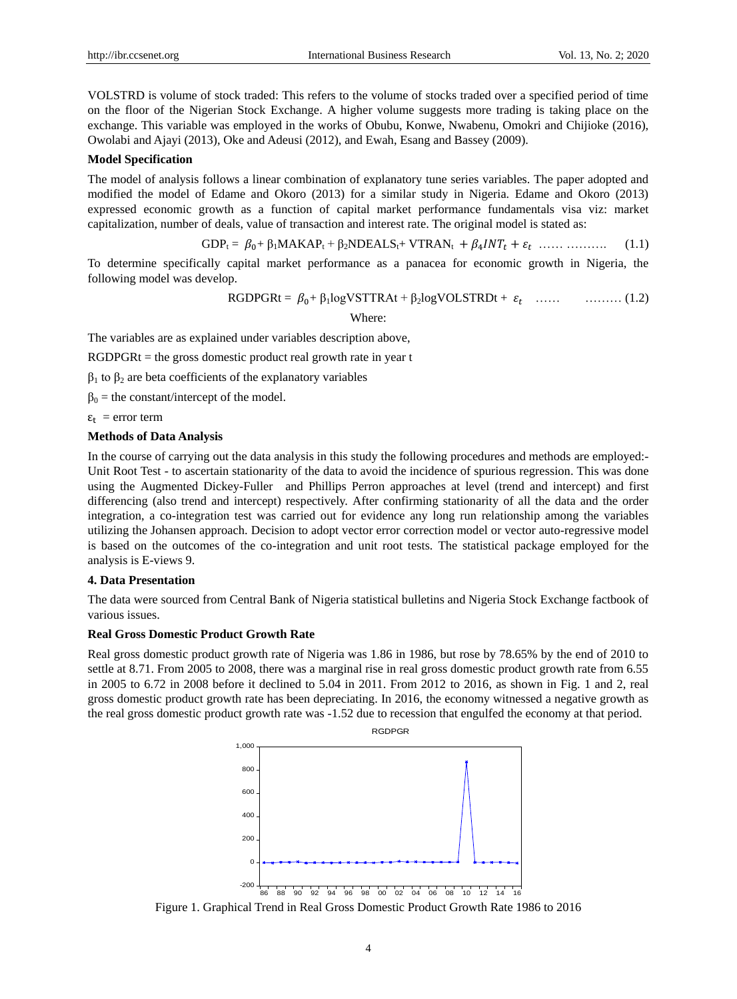VOLSTRD is volume of stock traded: This refers to the volume of stocks traded over a specified period of time on the floor of the Nigerian Stock Exchange. A higher volume suggests more trading is taking place on the exchange. This variable was employed in the works of Obubu, Konwe, Nwabenu, Omokri and Chijioke (2016), Owolabi and Ajayi (2013), Oke and Adeusi (2012), and Ewah, Esang and Bassey (2009).

#### **Model Specification**

The model of analysis follows a linear combination of explanatory tune series variables. The paper adopted and modified the model of Edame and Okoro (2013) for a similar study in Nigeria. Edame and Okoro (2013) expressed economic growth as a function of capital market performance fundamentals visa viz: market capitalization, number of deals, value of transaction and interest rate. The original model is stated as:

$$
GDP_t = \beta_0 + \beta_1 MAKAP_t + \beta_2 NDEALS_t + VTRAN_t + \beta_4 INT_t + \varepsilon_t \dots \dots \dots \dots \dots \tag{1.1}
$$

To determine specifically capital market performance as a panacea for economic growth in Nigeria, the following model was develop.

$$
RGDPGRt = \beta_0 + \beta_1 logVSTTRAt + \beta_2 logVOLSTRDt + \varepsilon_t \quad ...... \quad (1.2)
$$
  
Where:

The variables are as explained under variables description above,

 $RGDPGRt =$  the gross domestic product real growth rate in year t

 $β<sub>1</sub>$  to  $β<sub>2</sub>$  are beta coefficients of the explanatory variables

 $\beta_0$  = the constant/intercept of the model.

 $\varepsilon_t$  = error term

## **Methods of Data Analysis**

In the course of carrying out the data analysis in this study the following procedures and methods are employed:- Unit Root Test - to ascertain stationarity of the data to avoid the incidence of spurious regression. This was done using the Augmented Dickey-Fuller and Phillips Perron approaches at level (trend and intercept) and first differencing (also trend and intercept) respectively. After confirming stationarity of all the data and the order integration, a co-integration test was carried out for evidence any long run relationship among the variables utilizing the Johansen approach. Decision to adopt vector error correction model or vector auto-regressive model is based on the outcomes of the co-integration and unit root tests. The statistical package employed for the analysis is E-views 9.

## **4. Data Presentation**

The data were sourced from Central Bank of Nigeria statistical bulletins and Nigeria Stock Exchange factbook of various issues.

## **Real Gross Domestic Product Growth Rate**

Real gross domestic product growth rate of Nigeria was 1.86 in 1986, but rose by 78.65% by the end of 2010 to settle at 8.71. From 2005 to 2008, there was a marginal rise in real gross domestic product growth rate from 6.55 in 2005 to 6.72 in 2008 before it declined to 5.04 in 2011. From 2012 to 2016, as shown in Fig. 1 and 2, real gross domestic product growth rate has been depreciating. In 2016, the economy witnessed a negative growth as the real gross domestic product growth rate was -1.52 due to recession that engulfed the economy at that period.



Figure 1. Graphical Trend in Real Gross Domestic Product Growth Rate 1986 to 2016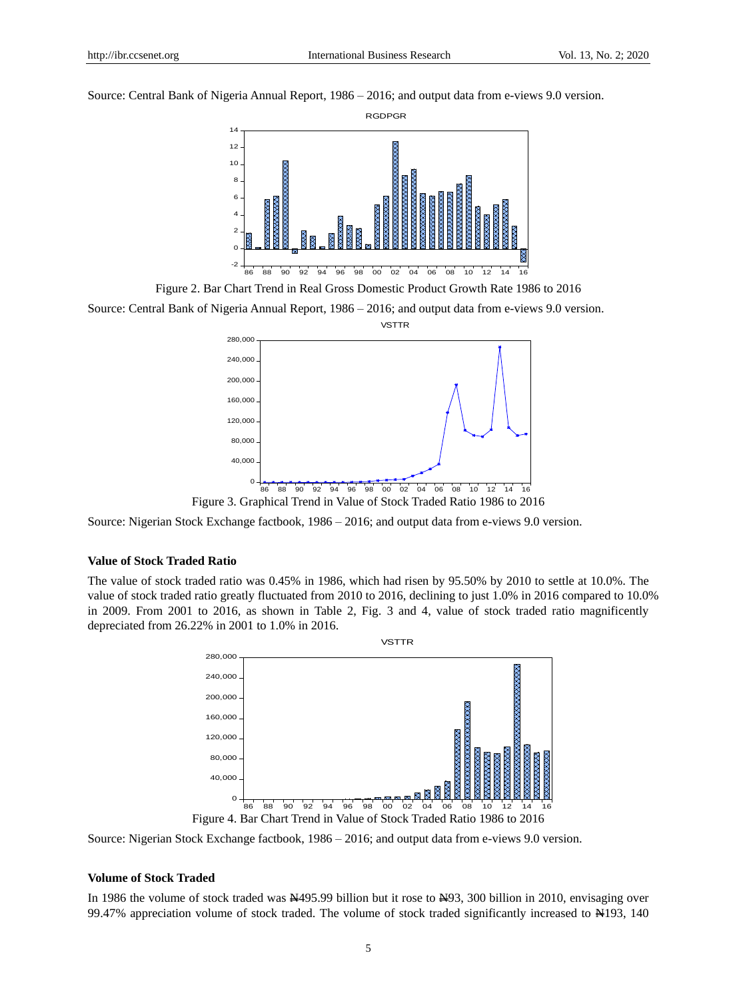Source: Central Bank of Nigeria Annual Report, 1986 – 2016; and output data from e-views 9.0 version.



Figure 2. Bar Chart Trend in Real Gross Domestic Product Growth Rate 1986 to 2016

Source: Central Bank of Nigeria Annual Report, 1986 – 2016; and output data from e-views 9.0 version.



Source: Nigerian Stock Exchange factbook, 1986 – 2016; and output data from e-views 9.0 version.

## **Value of Stock Traded Ratio**

The value of stock traded ratio was 0.45% in 1986, which had risen by 95.50% by 2010 to settle at 10.0%. The value of stock traded ratio greatly fluctuated from 2010 to 2016, declining to just 1.0% in 2016 compared to 10.0% in 2009. From 2001 to 2016, as shown in Table 2, Fig. 3 and 4, value of stock traded ratio magnificently depreciated from 26.22% in 2001 to 1.0% in 2016.



Source: Nigerian Stock Exchange factbook, 1986 – 2016; and output data from e-views 9.0 version.

## **Volume of Stock Traded**

In 1986 the volume of stock traded was N495.99 billion but it rose to N93, 300 billion in 2010, envisaging over 99.47% appreciation volume of stock traded. The volume of stock traded significantly increased to N193, 140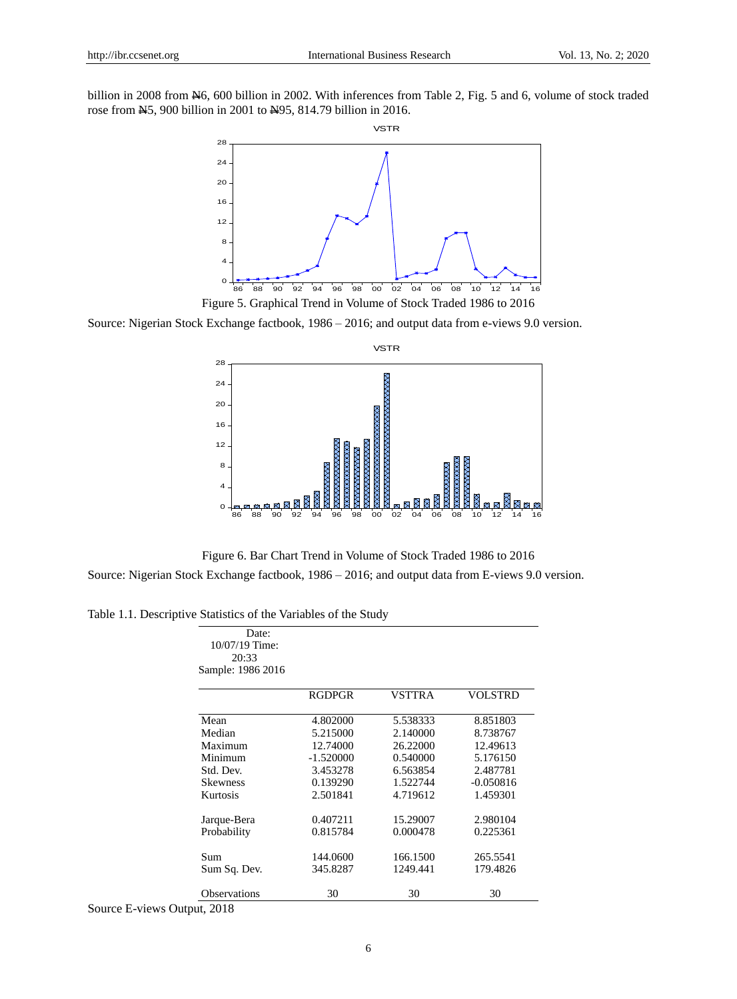billion in 2008 from  $\frac{1}{26}$ , 600 billion in 2002. With inferences from Table 2, Fig. 5 and 6, volume of stock traded rose from N5, 900 billion in 2001 to N95, 814.79 billion in 2016.



Source: Nigerian Stock Exchange factbook, 1986 – 2016; and output data from e-views 9.0 version.



Figure 6. Bar Chart Trend in Volume of Stock Traded 1986 to 2016

Source: Nigerian Stock Exchange factbook, 1986 – 2016; and output data from E-views 9.0 version.

Table 1.1. Descriptive Statistics of the Variables of the Study

| Date:<br>10/07/19 Time:<br>20:33<br>Sample: 1986 2016 |               |          |                |
|-------------------------------------------------------|---------------|----------|----------------|
|                                                       | <b>RGDPGR</b> | VSTTRA   | <b>VOLSTRD</b> |
| Mean                                                  | 4.802000      | 5.538333 | 8.851803       |
| Median                                                | 5.215000      | 2.140000 | 8.738767       |
| Maximum                                               | 12.74000      | 26.22000 | 12.49613       |
| Minimum                                               | $-1.520000$   | 0.540000 | 5.176150       |
| Std. Dev.                                             | 3.453278      | 6.563854 | 2.487781       |
| <b>Skewness</b>                                       | 0.139290      | 1.522744 | $-0.050816$    |
| Kurtosis                                              | 2.501841      | 4.719612 | 1.459301       |
| Jarque-Bera                                           | 0.407211      | 15.29007 | 2.980104       |
| Probability                                           | 0.815784      | 0.000478 | 0.225361       |
| Sum                                                   | 144.0600      | 166.1500 | 265.5541       |
| Sum Sq. Dev.                                          | 345.8287      | 1249.441 | 179.4826       |
| <b>Observations</b>                                   | 30            | 30       | 30             |

Source E-views Output, 2018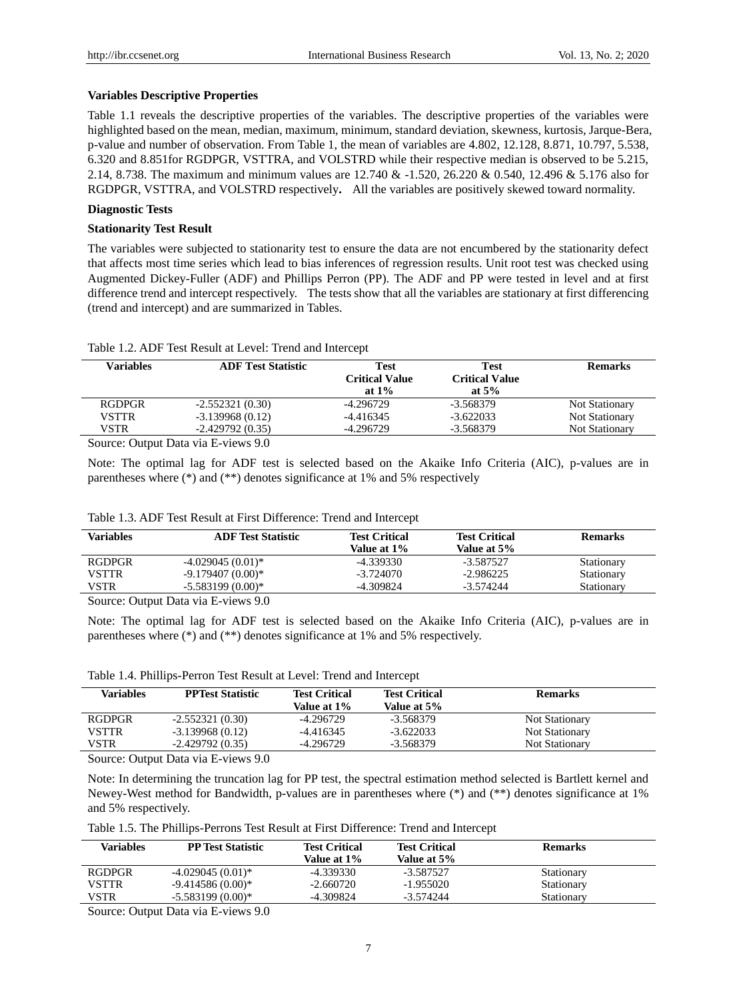## **Variables Descriptive Properties**

Table 1.1 reveals the descriptive properties of the variables. The descriptive properties of the variables were highlighted based on the mean, median, maximum, minimum, standard deviation, skewness, kurtosis, Jarque-Bera, p-value and number of observation. From Table 1, the mean of variables are 4.802, 12.128, 8.871, 10.797, 5.538, 6.320 and 8.851for RGDPGR, VSTTRA, and VOLSTRD while their respective median is observed to be 5.215, 2.14, 8.738. The maximum and minimum values are 12.740 & -1.520, 26.220 & 0.540, 12.496 & 5.176 also for RGDPGR, VSTTRA, and VOLSTRD respectively**.** All the variables are positively skewed toward normality.

## **Diagnostic Tests**

## **Stationarity Test Result**

The variables were subjected to stationarity test to ensure the data are not encumbered by the stationarity defect that affects most time series which lead to bias inferences of regression results. Unit root test was checked using Augmented Dickey-Fuller (ADF) and Phillips Perron (PP). The ADF and PP were tested in level and at first difference trend and intercept respectively. The tests show that all the variables are stationary at first differencing (trend and intercept) and are summarized in Tables.

| Table 1.2. ADF Test Result at Level: Trend and Intercept |  |
|----------------------------------------------------------|--|
|----------------------------------------------------------|--|

| Variables     | <b>ADF Test Statistic</b> | Test<br><b>Critical Value</b><br>at $1\%$ | <b>Test</b><br><b>Critical Value</b><br>at $5\%$ | <b>Remarks</b>        |
|---------------|---------------------------|-------------------------------------------|--------------------------------------------------|-----------------------|
| <b>RGDPGR</b> | $-2.552321(0.30)$         | -4.296729                                 | -3.568379                                        | <b>Not Stationary</b> |
| VSTTR         | $-3.139968(0.12)$         | $-4.416345$                               | $-3.622033$                                      | <b>Not Stationary</b> |
| VSTR          | $-2.429792(0.35)$         | -4.296729                                 | -3.568379                                        | <b>Not Stationary</b> |
|               |                           |                                           |                                                  |                       |

Source: Output Data via E-views 9.0

Note: The optimal lag for ADF test is selected based on the Akaike Info Criteria (AIC), p-values are in parentheses where (\*) and (\*\*) denotes significance at 1% and 5% respectively

| Table 1.3. ADF Test Result at First Difference: Trend and Intercept |  |
|---------------------------------------------------------------------|--|
|---------------------------------------------------------------------|--|

| <b>ADF</b> Test Statistic | <b>Test Critical</b> | <b>Test Critical</b> | <b>Remarks</b> |
|---------------------------|----------------------|----------------------|----------------|
|                           |                      |                      |                |
| $-4.029045(0.01)$ *       | -4.339330            | -3.587527            | Stationary     |
| $-9.179407(0.00)*$        | $-3.724070$          | $-2.986225$          | Stationary     |
| $-5.583199(0.00)*$        | -4.309824            | $-3.574244$          | Stationary     |
|                           |                      | Value at 1%          | Value at 5%    |

Source: Output Data via E-views 9.0

Note: The optimal lag for ADF test is selected based on the Akaike Info Criteria (AIC), p-values are in parentheses where (\*) and (\*\*) denotes significance at 1% and 5% respectively.

Table 1.4. Phillips-Perron Test Result at Level: Trend and Intercept

| <b>Variables</b> | <b>PPTest Statistic</b> | <b>Test Critical</b><br>Value at 1% | <b>Test Critical</b><br>Value at 5% | <b>Remarks</b>        |
|------------------|-------------------------|-------------------------------------|-------------------------------------|-----------------------|
| <b>RGDPGR</b>    | $-2.552321(0.30)$       | -4.296729                           | $-3.568379$                         | Not Stationary        |
| <b>VSTTR</b>     | $-3.139968(0.12)$       | $-4.416345$                         | $-3.622033$                         | Not Stationary        |
| VSTR             | $-2.429792(0.35)$       | -4.296729                           | $-3.568379$                         | <b>Not Stationary</b> |
|                  |                         |                                     |                                     |                       |

Source: Output Data via E-views 9.0

Note: In determining the truncation lag for PP test, the spectral estimation method selected is Bartlett kernel and Newey-West method for Bandwidth, p-values are in parentheses where (\*) and (\*\*) denotes significance at 1% and 5% respectively.

Table 1.5. The Phillips-Perrons Test Result at First Difference: Trend and Intercept

| -3.587527   | Stationary  |
|-------------|-------------|
| $-1.955020$ | Stationary  |
| $-3.574244$ | Stationary  |
|             | Value at 5% |

Source: Output Data via E-views 9.0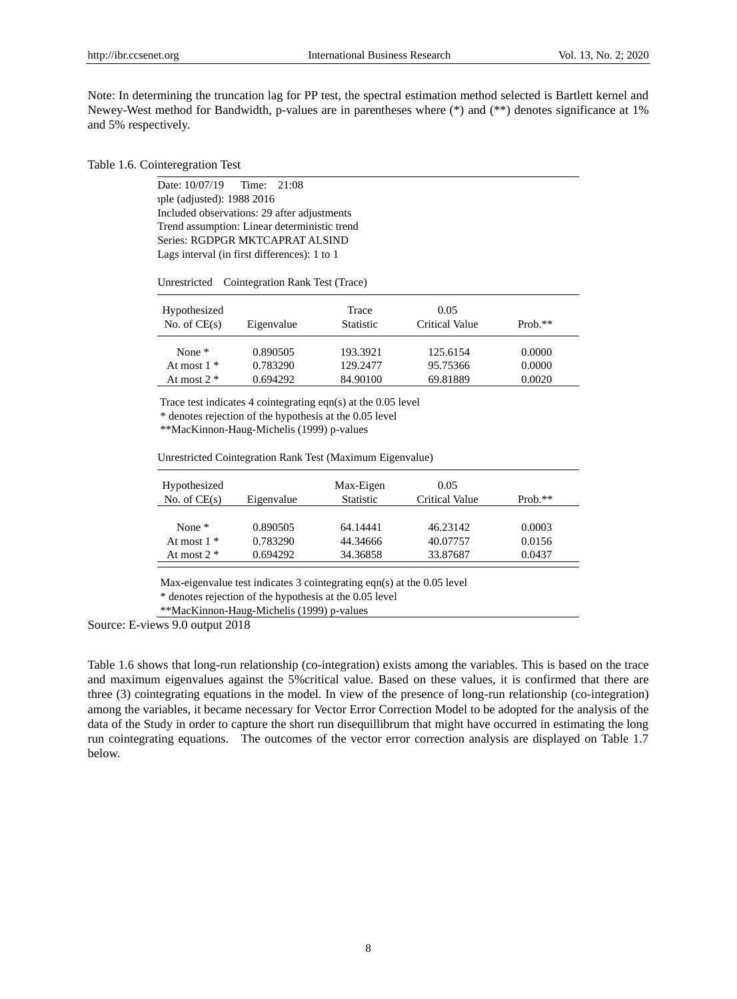Note: In determining the truncation lag for PP test, the spectral estimation method selected is Bartlett kernel and Newey-West method for Bandwidth, p-values are in parentheses where (\*) and (\*\*) denotes significance at 1% and 5% respectively.

### Table 1.6. Cointeregration Test

Date: 10/07/19 Time: 21:08 Sample (adjusted): 1988 2016 Included observations: 29 after adjustments Trend assumption: Linear deterministic trend Series: RGDPGR MKTCAPRAT ALSIND Lags interval (in first differences): 1 to 1

Unrestricted Cointegration Rank Test (Trace)

| Hypothesized<br>No. of $CE(s)$ | Eigenvalue           | Trace<br><b>Statistic</b> | 0.05<br>Critical Value | $Prob.**$        |
|--------------------------------|----------------------|---------------------------|------------------------|------------------|
| None $*$<br>At most $1 *$      | 0.890505<br>0.783290 | 193.3921<br>129.2477      | 125.6154<br>95.75366   | 0.0000<br>0.0000 |
| At most $2 *$                  | 0.694292             | 84.90100                  | 69.81889               | 0.0020           |

Trace test indicates 4 cointegrating eqn(s) at the 0.05 level

\* denotes rejection of the hypothesis at the 0.05 level

\*\*MacKinnon-Haug-Michelis (1999) p-values

Unrestricted Cointegration Rank Test (Maximum Eigenvalue)

| Hypothesized<br>No. of $CE(s)$ | Eigenvalue | Max-Eigen<br><b>Statistic</b> | 0.05<br>Critical Value | $Prob.**$ |
|--------------------------------|------------|-------------------------------|------------------------|-----------|
| None $*$                       | 0.890505   | 64.14441                      | 46.23142               | 0.0003    |
| At most $1 *$                  | 0.783290   | 44.34666                      | 40.07757               | 0.0156    |
| At most $2 *$                  | 0.694292   | 34.36858                      | 33.87687               | 0.0437    |

Max-eigenvalue test indicates 3 cointegrating eqn(s) at the 0.05 level

\* denotes rejection of the hypothesis at the 0.05 level

\*\*MacKinnon-Haug-Michelis (1999) p-values

Source: E-views 9.0 output 2018

Table 1.6 shows that long-run relationship (co-integration) exists among the variables. This is based on the trace and maximum eigenvalues against the 5%critical value. Based on these values, it is confirmed that there are three (3) cointegrating equations in the model. In view of the presence of long-run relationship (co-integration) among the variables, it became necessary for Vector Error Correction Model to be adopted for the analysis of the data of the Study in order to capture the short run disequillibrum that might have occurred in estimating the long run cointegrating equations. The outcomes of the vector error correction analysis are displayed on Table 1.7 below.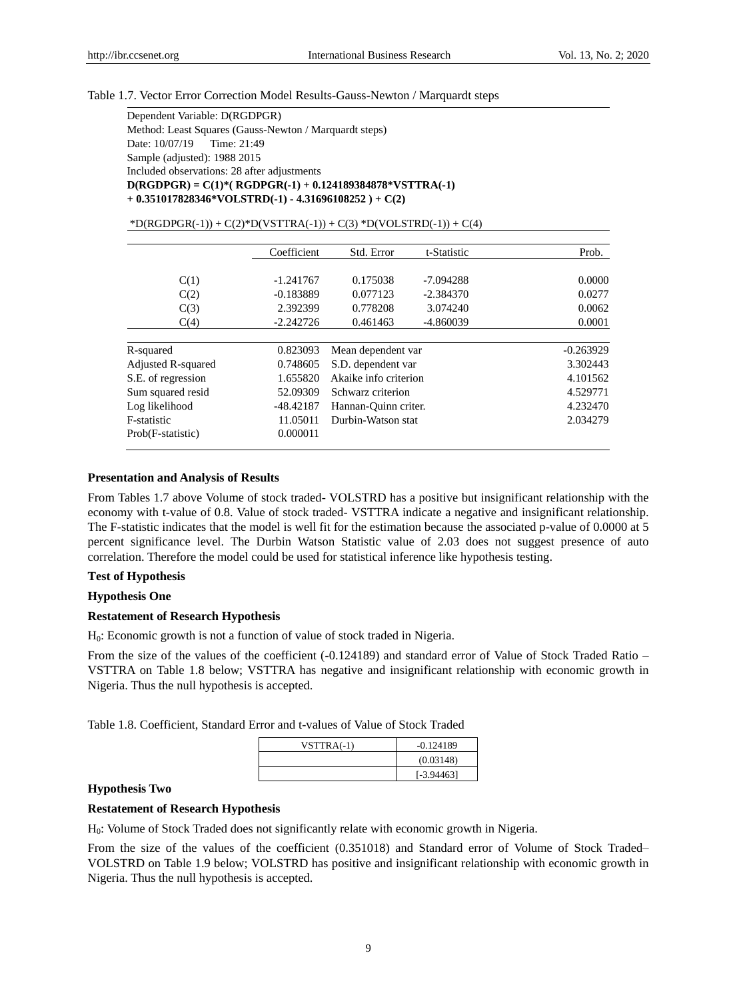#### Table 1.7. Vector Error Correction Model Results-Gauss-Newton / Marquardt steps

Dependent Variable: D(RGDPGR) Method: Least Squares (Gauss-Newton / Marquardt steps) Date: 10/07/19 Time: 21:49 Sample (adjusted): 1988 2015 Included observations: 28 after adjustments **D(RGDPGR) = C(1)\*( RGDPGR(-1) + 0.124189384878\*VSTTRA(-1) + 0.351017828346\*VOLSTRD(-1) - 4.31696108252 ) + C(2)**

| $*D(RGDPGR(-1)) + C(2)*D(VSTTRA(-1)) + C(3)*D(VOLSTRD(-1)) + C(4)$ |  |
|--------------------------------------------------------------------|--|
|--------------------------------------------------------------------|--|

|                    | Coefficient | Std. Error            | t-Statistic | Prob.       |
|--------------------|-------------|-----------------------|-------------|-------------|
|                    |             |                       |             |             |
| C(1)               | $-1.241767$ | 0.175038              | -7.094288   | 0.0000      |
| C(2)               | $-0.183889$ | 0.077123              | $-2.384370$ | 0.0277      |
| C(3)               | 2.392399    | 0.778208              | 3.074240    | 0.0062      |
| C(4)               | $-2.242726$ | 0.461463              | $-4.860039$ | 0.0001      |
|                    |             |                       |             |             |
| R-squared          | 0.823093    | Mean dependent var    |             | $-0.263929$ |
| Adjusted R-squared | 0.748605    | S.D. dependent var    |             | 3.302443    |
| S.E. of regression | 1.655820    | Akaike info criterion |             | 4.101562    |
| Sum squared resid  | 52.09309    | Schwarz criterion     |             | 4.529771    |
| Log likelihood     | $-48.42187$ | Hannan-Ouinn criter.  |             | 4.232470    |
| F-statistic        | 11.05011    | Durbin-Watson stat    |             | 2.034279    |
| Prob(F-statistic)  | 0.000011    |                       |             |             |

## **Presentation and Analysis of Results**

From Tables 1.7 above Volume of stock traded- VOLSTRD has a positive but insignificant relationship with the economy with t-value of 0.8. Value of stock traded- VSTTRA indicate a negative and insignificant relationship. The F-statistic indicates that the model is well fit for the estimation because the associated p-value of 0.0000 at 5 percent significance level. The Durbin Watson Statistic value of 2.03 does not suggest presence of auto correlation. Therefore the model could be used for statistical inference like hypothesis testing.

## **Test of Hypothesis**

# **Hypothesis One**

### **Restatement of Research Hypothesis**

H0: Economic growth is not a function of value of stock traded in Nigeria.

From the size of the values of the coefficient (-0.124189) and standard error of Value of Stock Traded Ratio – VSTTRA on Table 1.8 below; VSTTRA has negative and insignificant relationship with economic growth in Nigeria. Thus the null hypothesis is accepted.

Table 1.8. Coefficient, Standard Error and t-values of Value of Stock Traded

| $VSTTRA(-1)$ | $-0.124189$  |
|--------------|--------------|
|              | (0.03148)    |
|              | $[-3.94463]$ |
|              |              |

## **Hypothesis Two**

# **Restatement of Research Hypothesis**

H0: Volume of Stock Traded does not significantly relate with economic growth in Nigeria.

From the size of the values of the coefficient (0.351018) and Standard error of Volume of Stock Traded– VOLSTRD on Table 1.9 below; VOLSTRD has positive and insignificant relationship with economic growth in Nigeria. Thus the null hypothesis is accepted.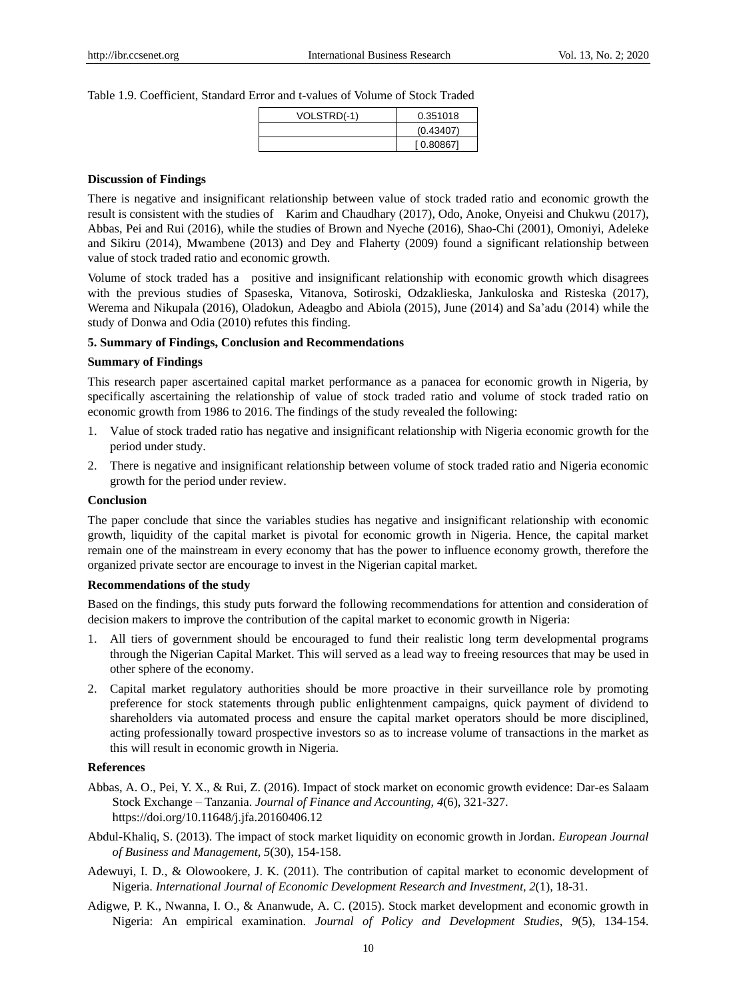Table 1.9. Coefficient, Standard Error and t-values of Volume of Stock Traded

| VOLSTRD(-1) | 0.351018  |
|-------------|-----------|
|             | (0.43407) |
|             | [0.80867] |

#### **Discussion of Findings**

There is negative and insignificant relationship between value of stock traded ratio and economic growth the result is consistent with the studies of Karim and Chaudhary (2017), Odo, Anoke, Onyeisi and Chukwu (2017), Abbas, Pei and Rui (2016), while the studies of Brown and Nyeche (2016), Shao-Chi (2001), Omoniyi, Adeleke and Sikiru (2014), Mwambene (2013) and Dey and Flaherty (2009) found a significant relationship between value of stock traded ratio and economic growth.

Volume of stock traded has a positive and insignificant relationship with economic growth which disagrees with the previous studies of Spaseska, Vitanova, Sotiroski, Odzaklieska, Jankuloska and Risteska (2017), Werema and Nikupala (2016), Oladokun, Adeagbo and Abiola (2015), June (2014) and Sa'adu (2014) while the study of Donwa and Odia (2010) refutes this finding.

## **5. Summary of Findings, Conclusion and Recommendations**

#### **Summary of Findings**

This research paper ascertained capital market performance as a panacea for economic growth in Nigeria, by specifically ascertaining the relationship of value of stock traded ratio and volume of stock traded ratio on economic growth from 1986 to 2016. The findings of the study revealed the following:

- 1. Value of stock traded ratio has negative and insignificant relationship with Nigeria economic growth for the period under study.
- 2. There is negative and insignificant relationship between volume of stock traded ratio and Nigeria economic growth for the period under review.

## **Conclusion**

The paper conclude that since the variables studies has negative and insignificant relationship with economic growth, liquidity of the capital market is pivotal for economic growth in Nigeria. Hence, the capital market remain one of the mainstream in every economy that has the power to influence economy growth, therefore the organized private sector are encourage to invest in the Nigerian capital market.

#### **Recommendations of the study**

Based on the findings, this study puts forward the following recommendations for attention and consideration of decision makers to improve the contribution of the capital market to economic growth in Nigeria:

- 1. All tiers of government should be encouraged to fund their realistic long term developmental programs through the Nigerian Capital Market. This will served as a lead way to freeing resources that may be used in other sphere of the economy.
- 2. Capital market regulatory authorities should be more proactive in their surveillance role by promoting preference for stock statements through public enlightenment campaigns, quick payment of dividend to shareholders via automated process and ensure the capital market operators should be more disciplined, acting professionally toward prospective investors so as to increase volume of transactions in the market as this will result in economic growth in Nigeria.

## **References**

- Abbas, A. O., Pei, Y. X., & Rui, Z. (2016). Impact of stock market on economic growth evidence: Dar-es Salaam Stock Exchange – Tanzania. *Journal of Finance and Accounting, 4*(6), 321-327. https://doi.org/10.11648/j.jfa.20160406.12
- Abdul-Khaliq, S. (2013). The impact of stock market liquidity on economic growth in Jordan. *European Journal of Business and Management, 5*(30), 154-158.
- Adewuyi, I. D., & Olowookere, J. K. (2011). The contribution of capital market to economic development of Nigeria. *International Journal of Economic Development Research and Investment, 2*(1), 18-31.
- Adigwe, P. K., Nwanna, I. O., & Ananwude, A. C. (2015). Stock market development and economic growth in Nigeria: An empirical examination. *Journal of Policy and Development Studies*, *9*(5), 134-154.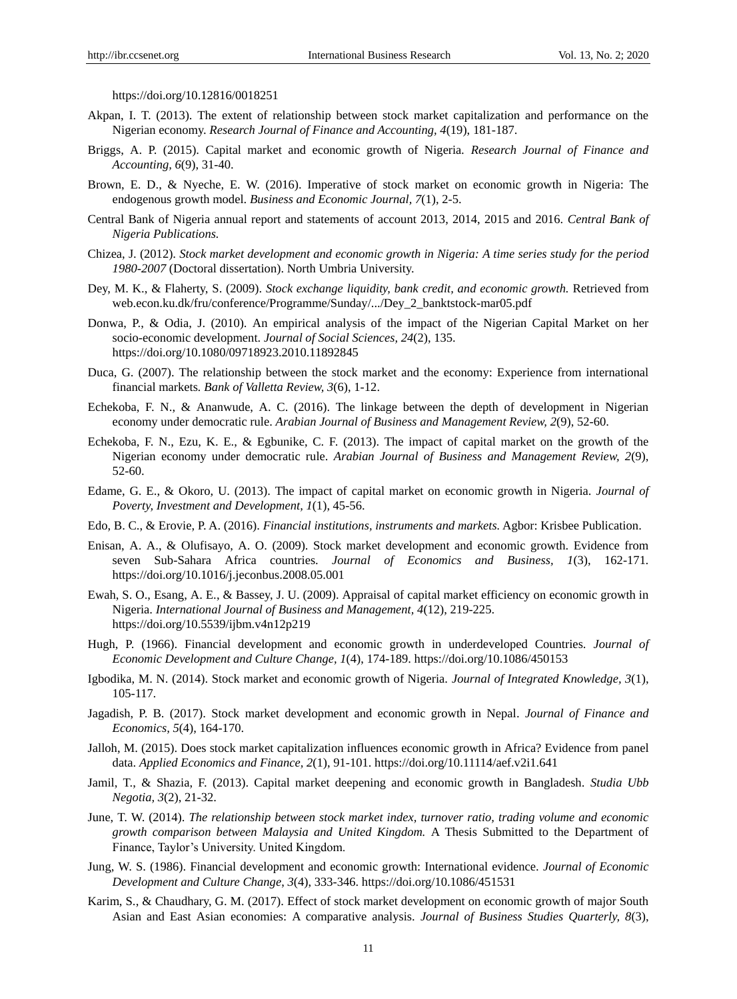https://doi.org/10.12816/0018251

- Akpan, I. T. (2013). The extent of relationship between stock market capitalization and performance on the Nigerian economy. *Research Journal of Finance and Accounting, 4*(19), 181-187.
- Briggs, A. P. (2015). Capital market and economic growth of Nigeria*. Research Journal of Finance and Accounting, 6*(9), 31-40.
- Brown, E. D., & Nyeche, E. W. (2016). Imperative of stock market on economic growth in Nigeria: The endogenous growth model. *Business and Economic Journal, 7*(1), 2-5.
- Central Bank of Nigeria annual report and statements of account 2013, 2014, 2015 and 2016. *Central Bank of Nigeria Publications.*
- Chizea, J. (2012). *Stock market development and economic growth in Nigeria: A time series study for the period 1980-2007* (Doctoral dissertation). North Umbria University.
- Dey, M. K., & Flaherty, S. (2009). *Stock exchange liquidity, bank credit, and economic growth.* Retrieved from web.econ.ku.dk/fru/conference/Programme/Sunday/.../Dey\_2\_banktstock-mar05.pdf
- Donwa, P., & Odia, J. (2010). An empirical analysis of the impact of the Nigerian Capital Market on her socio-economic development. *Journal of Social Sciences, 24*(2), 135. https://doi.org/10.1080/09718923.2010.11892845
- Duca, G. (2007). The relationship between the stock market and the economy: Experience from international financial markets*. Bank of Valletta Review, 3*(6), 1-12.
- Echekoba, F. N., & Ananwude, A. C. (2016). The linkage between the depth of development in Nigerian economy under democratic rule. *Arabian Journal of Business and Management Review, 2*(9), 52-60.
- Echekoba, F. N., Ezu, K. E., & Egbunike, C. F. (2013). The impact of capital market on the growth of the Nigerian economy under democratic rule. *Arabian Journal of Business and Management Review, 2*(9), 52-60.
- Edame, G. E., & Okoro, U. (2013). The impact of capital market on economic growth in Nigeria. *Journal of Poverty, Investment and Development, 1*(1), 45-56.
- Edo, B. C., & Erovie, P. A. (2016). *Financial institutions, instruments and markets.* Agbor: Krisbee Publication.
- Enisan, A. A., & Olufisayo, A. O. (2009). Stock market development and economic growth. Evidence from seven Sub-Sahara Africa countries. *Journal of Economics and Business, 1*(3), 162-171*.* https://doi.org/10.1016/j.jeconbus.2008.05.001
- Ewah, S. O., Esang, A. E., & Bassey, J. U. (2009). Appraisal of capital market efficiency on economic growth in Nigeria. *International Journal of Business and Management, 4*(12), 219-225. https://doi.org/10.5539/ijbm.v4n12p219
- Hugh, P. (1966). Financial development and economic growth in underdeveloped Countries. *Journal of Economic Development and Culture Change, 1*(4), 174-189. https://doi.org/10.1086/450153
- Igbodika, M. N. (2014). Stock market and economic growth of Nigeria. *Journal of Integrated Knowledge, 3*(1), 105-117*.*
- Jagadish, P. B. (2017). Stock market development and economic growth in Nepal. *Journal of Finance and Economics, 5*(4), 164-170.
- Jalloh, M. (2015). Does stock market capitalization influences economic growth in Africa? Evidence from panel data. *Applied Economics and Finance, 2*(1), 91-101. https://doi.org/10.11114/aef.v2i1.641
- Jamil, T., & Shazia, F. (2013). Capital market deepening and economic growth in Bangladesh. *Studia Ubb Negotia, 3*(2), 21-32.
- June, T. W. (2014). *The relationship between stock market index, turnover ratio, trading volume and economic growth comparison between Malaysia and United Kingdom.* A Thesis Submitted to the Department of Finance, Taylor's University. United Kingdom.
- Jung, W. S. (1986). Financial development and economic growth: International evidence. *Journal of Economic Development and Culture Change*, *3*(4), 333-346. https://doi.org/10.1086/451531
- Karim, S., & Chaudhary, G. M. (2017). Effect of stock market development on economic growth of major South Asian and East Asian economies: A comparative analysis. *Journal of Business Studies Quarterly, 8*(3),